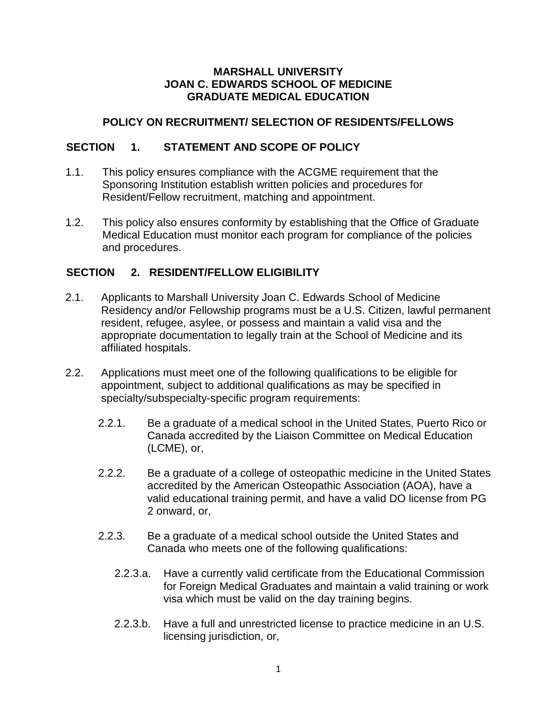#### **MARSHALL UNIVERSITY JOAN C. EDWARDS SCHOOL OF MEDICINE GRADUATE MEDICAL EDUCATION**

### **POLICY ON RECRUITMENT/ SELECTION OF RESIDENTS/FELLOWS**

### **SECTION 1. STATEMENT AND SCOPE OF POLICY**

- 1.1. This policy ensures compliance with the ACGME requirement that the Sponsoring Institution establish written policies and procedures for Resident/Fellow recruitment, matching and appointment.
- 1.2. This policy also ensures conformity by establishing that the Office of Graduate Medical Education must monitor each program for compliance of the policies and procedures.

# **SECTION 2. RESIDENT/FELLOW ELIGIBILITY**

- 2.1. Applicants to Marshall University Joan C. Edwards School of Medicine Residency and/or Fellowship programs must be a U.S. Citizen, lawful permanent resident, refugee, asylee, or possess and maintain a valid visa and the appropriate documentation to legally train at the School of Medicine and its affiliated hospitals.
- 2.2. Applications must meet one of the following qualifications to be eligible for appointment, subject to additional qualifications as may be specified in specialty/subspecialty-specific program requirements:
	- 2.2.1. Be a graduate of a medical school in the United States, Puerto Rico or Canada accredited by the Liaison Committee on Medical Education (LCME), or,
	- 2.2.2. Be a graduate of a college of osteopathic medicine in the United States accredited by the American Osteopathic Association (AOA), have a valid educational training permit, and have a valid DO license from PG 2 onward, or,
	- 2.2.3. Be a graduate of a medical school outside the United States and Canada who meets one of the following qualifications:
		- 2.2.3.a. Have a currently valid certificate from the Educational Commission for Foreign Medical Graduates and maintain a valid training or work visa which must be valid on the day training begins.
		- 2.2.3.b. Have a full and unrestricted license to practice medicine in an U.S. licensing jurisdiction, or,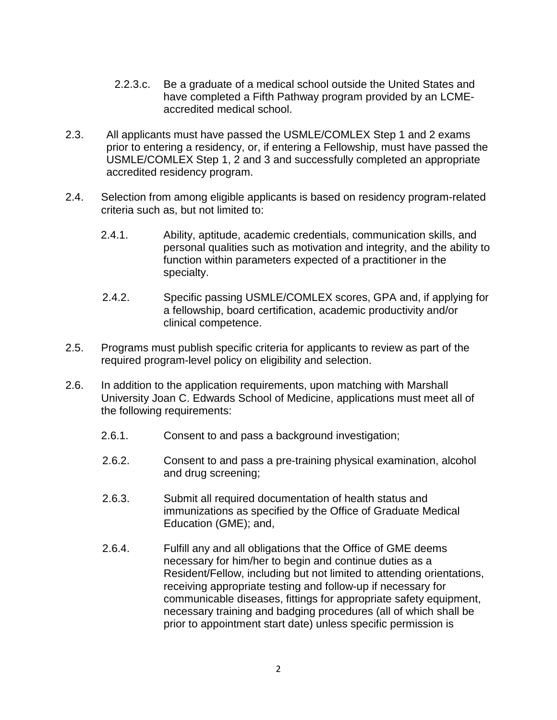- 2.2.3.c. Be a graduate of a medical school outside the United States and have completed a Fifth Pathway program provided by an LCMEaccredited medical school.
- 2.3. All applicants must have passed the USMLE/COMLEX Step 1 and 2 exams prior to entering a residency, or, if entering a Fellowship, must have passed the USMLE/COMLEX Step 1, 2 and 3 and successfully completed an appropriate accredited residency program.
- 2.4. Selection from among eligible applicants is based on residency program-related criteria such as, but not limited to:
	- 2.4.1. Ability, aptitude, academic credentials, communication skills, and personal qualities such as motivation and integrity, and the ability to function within parameters expected of a practitioner in the specialty.
	- 2.4.2. Specific passing USMLE/COMLEX scores, GPA and, if applying for a fellowship, board certification, academic productivity and/or clinical competence.
- 2.5. Programs must publish specific criteria for applicants to review as part of the required program-level policy on eligibility and selection.
- 2.6. In addition to the application requirements, upon matching with Marshall University Joan C. Edwards School of Medicine, applications must meet all of the following requirements:
	- 2.6.1. Consent to and pass a background investigation;
	- 2.6.2. Consent to and pass a pre-training physical examination, alcohol and drug screening;
	- 2.6.3. Submit all required documentation of health status and immunizations as specified by the Office of Graduate Medical Education (GME); and,
	- 2.6.4. Fulfill any and all obligations that the Office of GME deems necessary for him/her to begin and continue duties as a Resident/Fellow, including but not limited to attending orientations, receiving appropriate testing and follow-up if necessary for communicable diseases, fittings for appropriate safety equipment, necessary training and badging procedures (all of which shall be prior to appointment start date) unless specific permission is